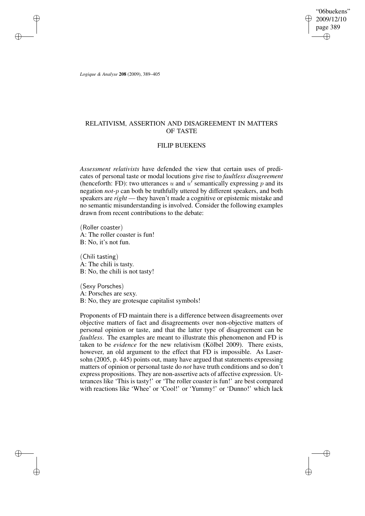"06buekens" 2009/12/10 page 389 ✐ ✐

✐

✐

*Logique & Analyse* **208** (2009), 389–405

✐

✐

✐

✐

## RELATIVISM, ASSERTION AND DISAGREEMENT IN MATTERS OF TASTE

### FILIP BUEKENS

*Assessment relativists* have defended the view that certain uses of predicates of personal taste or modal locutions give rise to *faultless disagreement* (henceforth: FD): two utterances u and  $u'$  semantically expressing p and its negation *not*-p can both be truthfully uttered by different speakers, and both speakers are *right* — they haven't made a cognitive or epistemic mistake and no semantic misunderstanding is involved. Consider the following examples drawn from recent contributions to the debate:

(Roller coaster) A: The roller coaster is fun! B: No, it's not fun.

(Chili tasting) A: The chili is tasty. B: No, the chili is not tasty!

(Sexy Porsches) A: Porsches are sexy. B: No, they are grotesque capitalist symbols!

Proponents of FD maintain there is a difference between disagreements over objective matters of fact and disagreements over non-objective matters of personal opinion or taste, and that the latter type of disagreement can be *faultless*. The examples are meant to illustrate this phenomenon and FD is taken to be *evidence* for the new relativism (Kölbel 2009). There exists, however, an old argument to the effect that FD is impossible. As Lasersohn (2005, p. 445) points out, many have argued that statements expressing matters of opinion or personal taste do *not* have truth conditions and so don't express propositions. They are non-assertive acts of affective expression. Utterances like 'This is tasty!' or 'The roller coaster is fun!' are best compared with reactions like 'Whee' or 'Cool!' or 'Yummy!' or 'Dunno!' which lack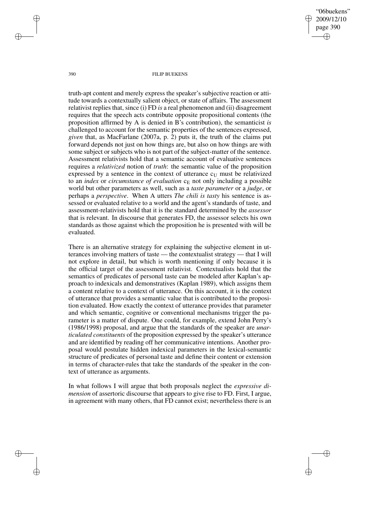"06buekens" 2009/12/10 page 390 ✐ ✐

✐

✐

#### 390 FILIP BUEKENS

truth-apt content and merely express the speaker's subjective reaction or attitude towards a contextually salient object, or state of affairs. The assessment relativist replies that, since (i) FD *is* a real phenomenon and (ii) disagreement requires that the speech acts contribute opposite propositional contents (the proposition affirmed by A is denied in B's contribution), the semanticist *is* challenged to account for the semantic properties of the sentences expressed, *given* that, as MacFarlane (2007a, p. 2) puts it, the truth of the claims put forward depends not just on how things are, but also on how things are with some subject or subjects who is not part of the subject-matter of the sentence. Assessment relativists hold that a semantic account of evaluative sentences requires a *relativized* notion of *truth*: the semantic value of the proposition expressed by a sentence in the context of utterance  $c<sub>U</sub>$  must be relativized to an *index* or *circumstance* of *evaluation*  $c_E$  not only including a possible world but other parameters as well, such as a *taste parameter* or a *judge*, or perhaps a *perspective*. When A utters *The chili is tasty* his sentence is assessed or evaluated relative to a world and the agent's standards of taste, and assessment-relativists hold that it is the standard determined by the *assessor* that is relevant. In discourse that generates FD, the assessor selects his own standards as those against which the proposition he is presented with will be evaluated.

There is an alternative strategy for explaining the subjective element in utterances involving matters of taste — the contextualist strategy — that I will not explore in detail, but which is worth mentioning if only because it is the official target of the assessment relativist. Contextualists hold that the semantics of predicates of personal taste can be modeled after Kaplan's approach to indexicals and demonstratives (Kaplan 1989), which assigns them a content relative to a context of utterance. On this account, it is the context of utterance that provides a semantic value that is contributed to the proposition evaluated. How exactly the context of utterance provides that parameter and which semantic, cognitive or conventional mechanisms trigger the parameter is a matter of dispute. One could, for example, extend John Perry's (1986/1998) proposal, and argue that the standards of the speaker are *unarticulated constituents* of the proposition expressed by the speaker's utterance and are identified by reading off her communicative intentions. Another proposal would postulate hidden indexical parameters in the lexical-semantic structure of predicates of personal taste and define their content or extension in terms of character-rules that take the standards of the speaker in the context of utterance as arguments.

In what follows I will argue that both proposals neglect the *expressive dimension* of assertoric discourse that appears to give rise to FD. First, I argue, in agreement with many others, that FD cannot exist; nevertheless there is an

✐

✐

✐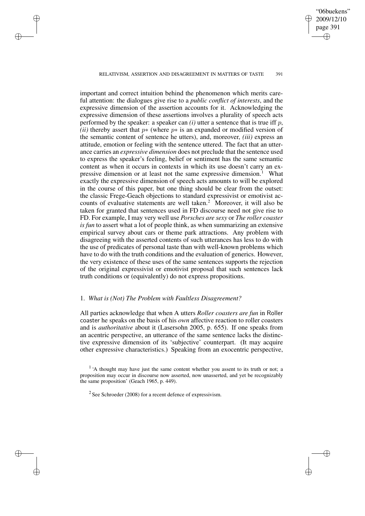# RELATIVISM, ASSERTION AND DISAGREEMENT IN MATTERS OF TASTE 391

✐

✐

✐

✐

"06buekens" 2009/12/10 page 391

✐

✐

✐

✐

important and correct intuition behind the phenomenon which merits careful attention: the dialogues give rise to a *public conflict of interests*, and the expressive dimension of the assertion accounts for it. Acknowledging the expressive dimension of these assertions involves a plurality of speech acts performed by the speaker: a speaker can  $(i)$  utter a sentence that is true iff p, *(ii)* thereby assert that *p*<sup>\*</sup> (where *p*<sup>\*</sup> is an expanded or modified version of the semantic content of sentence he utters), and, moreover, *(iii)* express an attitude, emotion or feeling with the sentence uttered. The fact that an utterance carries an *expressive dimension* does not preclude that the sentence used to express the speaker's feeling, belief or sentiment has the same semantic content as when it occurs in contexts in which its use doesn't carry an expressive dimension or at least not the same expressive dimension.<sup>1</sup> What exactly the expressive dimension of speech acts amounts to will be explored in the course of this paper, but one thing should be clear from the outset: the classic Frege-Geach objections to standard expressivist or emotivist accounts of evaluative statements are well taken.<sup>2</sup> Moreover, it will also be taken for granted that sentences used in FD discourse need not give rise to FD. For example, I may very well use *Porsches are sexy* or *The roller coaster is fun* to assert what a lot of people think, as when summarizing an extensive empirical survey about cars or theme park attractions. Any problem with disagreeing with the asserted contents of such utterances has less to do with the use of predicates of personal taste than with well-known problems which have to do with the truth conditions and the evaluation of generics. However, the very existence of these uses of the same sentences supports the rejection of the original expressivist or emotivist proposal that such sentences lack truth conditions or (equivalently) do not express propositions.

### 1. *What is (Not) The Problem with Faultless Disagreement?*

All parties acknowledge that when A utters *Roller coasters are fun* in Roller coaster he speaks on the basis of his *own* affective reaction to roller coasters and is *authoritative* about it (Lasersohn 2005, p. 655). If one speaks from an acentric perspective, an utterance of the same sentence lacks the distinctive expressive dimension of its 'subjective' counterpart. (It may acquire other expressive characteristics.) Speaking from an exocentric perspective,

<sup>1</sup> 'A thought may have just the same content whether you assent to its truth or not; a proposition may occur in discourse now asserted, now unasserted, and yet be recognizably the same proposition' (Geach 1965, p. 449).

 $2$  See Schroeder (2008) for a recent defence of expressivism.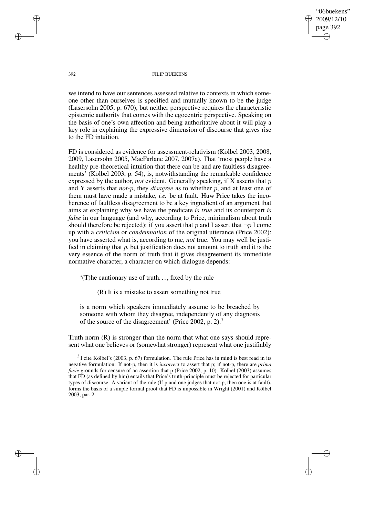"06buekens" 2009/12/10 page 392 ✐ ✐

✐

✐

#### 392 FILIP BUEKENS

we intend to have our sentences assessed relative to contexts in which someone other than ourselves is specified and mutually known to be the judge (Lasersohn 2005, p. 670), but neither perspective requires the characteristic epistemic authority that comes with the egocentric perspective. Speaking on the basis of one's own affection and being authoritative about it will play a key role in explaining the expressive dimension of discourse that gives rise to the FD intuition.

FD is considered as evidence for assessment-relativism (Kölbel 2003, 2008, 2009, Lasersohn 2005, MacFarlane 2007, 2007a). That 'most people have a healthy pre-theoretical intuition that there can be and are faultless disagreements' (Kölbel 2003, p. 54), is, notwithstanding the remarkable confidence expressed by the author, *not* evident. Generally speaking, if X asserts that p and Y asserts that *not*-p, they *disagree* as to whether p, and at least one of them must have made a mistake, *i.e.* be at fault. Huw Price takes the incoherence of faultless disagreement to be a key ingredient of an argument that aims at explaining why we have the predicate *is true* and its counterpart *is false* in our language (and why, according to Price, minimalism about truth should therefore be rejected): if you assert that p and I assert that  $\neg p$  I come up with a *criticism* or *condemnation* of the original utterance (Price 2002): you have asserted what is, according to me, *not* true. You may well be justified in claiming that  $p$ , but justification does not amount to truth and it is the very essence of the norm of truth that it gives disagreement its immediate normative character, a character on which dialogue depends:

'(T)he cautionary use of truth. . . , fixed by the rule

(R) It is a mistake to assert something not true

is a norm which speakers immediately assume to be breached by someone with whom they disagree, independently of any diagnosis of the source of the disagreement' (Price 2002, p. 2).<sup>3</sup>

Truth norm (R) is stronger than the norm that what one says should represent what one believes or (somewhat stronger) represent what one justifiably

 $3$ I cite Kölbel's (2003, p. 67) formulation. The rule Price has in mind is best read in its negative formulation: If not-p, then it is *incorrect* to assert that p; if not-p, there are *prima facie* grounds for censure of an assertion that p (Price 2002, p. 10). Kölbel (2003) assumes that FD (as defined by him) entails that Price's truth-principle must be rejected for particular types of discourse. A variant of the rule (If p and one judges that not-p, then one is at fault), forms the basis of a simple formal proof that FD is impossible in Wright (2001) and Kölbel 2003, par. 2.

✐

✐

✐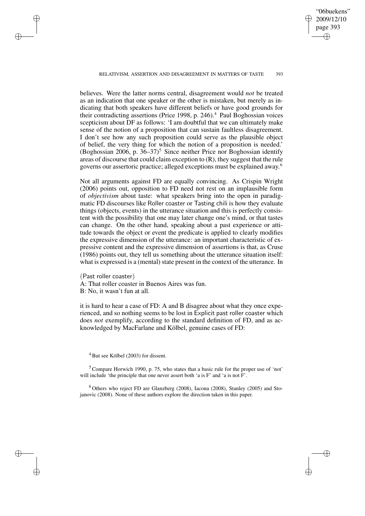"06buekens" 2009/12/10 page 393 ✐ ✐

✐

✐

#### RELATIVISM, ASSERTION AND DISAGREEMENT IN MATTERS OF TASTE 393

believes. Were the latter norms central, disagreement would *not* be treated as an indication that one speaker or the other is mistaken, but merely as indicating that both speakers have different beliefs or have good grounds for their contradicting assertions (Price 1998, p. 246).<sup>4</sup> Paul Boghossian voices scepticism about DF as follows: 'I am doubtful that we can ultimately make sense of the notion of a proposition that can sustain faultless disagreement. I don't see how any such proposition could serve as the plausible object of belief, the very thing for which the notion of a proposition is needed.' (Boghossian 2006, p.  $36-37$ )<sup>5</sup> Since neither Price nor Boghossian identify areas of discourse that could claim exception to (R), they suggest that the rule governs our assertoric practice; alleged exceptions must be explained away. 6

Not all arguments against FD are equally convincing. As Crispin Wright (2006) points out, opposition to FD need not rest on an implausible form of *objectivism* about taste: what speakers bring into the open in paradigmatic FD discourses like Roller coaster or Tasting chili is how they evaluate things (objects, events) in the utterance situation and this is perfectly consistent with the possibility that one may later change one's mind, or that tastes can change. On the other hand, speaking about a past experience or attitude towards the object or event the predicate is applied to clearly modifies the expressive dimension of the utterance: an important characteristic of expressive content and the expressive dimension of assertions is that, as Cruse (1986) points out, they tell us something about the utterance situation itself: what is expressed is a (mental) state present in the context of the utterance. In

(Past roller coaster) A: That roller coaster in Buenos Aires was fun. B: No, it wasn't fun at all.

it is hard to hear a case of FD: A and B disagree about what they once experienced, and so nothing seems to be lost in Explicit past roller coaster which does *not* exemplify, according to the standard definition of FD, and as acknowledged by MacFarlane and Kölbel, genuine cases of FD:

✐

✐

✐

✐

<sup>5</sup> Compare Horwich 1990, p. 75, who states that a basic rule for the proper use of 'not' will include 'the principle that one never assert both 'a is F' and 'a is not F'.

<sup>6</sup> Others who reject FD are Glanzberg (2008), Iacona (2008), Stanley (2005) and Stojanovic (2008). None of these authors explore the direction taken in this paper.

 $4$  But see Kölbel (2003) for dissent.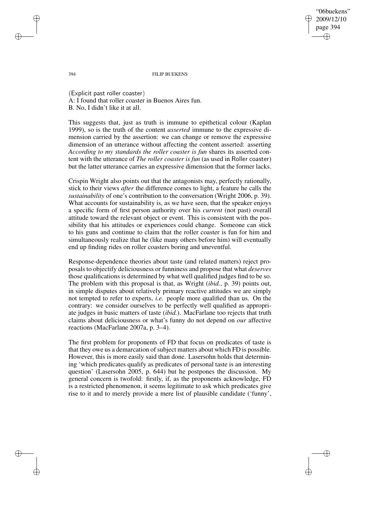"06buekens" 2009/12/10 page 394 ✐ ✐

✐

✐

394 FILIP BUEKENS

(Explicit past roller coaster) A: I found that roller coaster in Buenos Aires fun. B. No, I didn't like it at all.

This suggests that, just as truth is immune to epithetical colour (Kaplan 1999), so is the truth of the content *asserted* immune to the expressive dimension carried by the assertion: we can change or remove the expressive dimension of an utterance without affecting the content asserted: asserting *According to my standards the roller coaster is fun* shares its asserted content with the utterance of *The roller coaster is fun* (as used in Roller coaster) but the latter utterance carries an expressive dimension that the former lacks.

Crispin Wright also points out that the antagonists may, perfectly rationally, stick to their views *after* the difference comes to light, a feature he calls the *sustainability* of one's contribution to the conversation (Wright 2006, p. 39). What accounts for sustainability is, as we have seen, that the speaker enjoys a specific form of first person authority over his *current* (not past) overall attitude toward the relevant object or event. This is consistent with the possibility that his attitudes or experiences could change. Someone can stick to his guns and continue to claim that the roller coaster is fun for him and simultaneously realize that he (like many others before him) will eventually end up finding rides on roller coasters boring and uneventful.

Response-dependence theories about taste (and related matters) reject proposals to objectify deliciousness or funniness and propose that what *deserves* those qualifications is determined by what well qualified judges find to be so. The problem with this proposal is that, as Wright (*ibid.*, p. 39) points out, in simple disputes about relatively primary reactive attitudes we are simply not tempted to refer to experts, *i.e.* people more qualified than us. On the contrary: we consider ourselves to be perfectly well qualified as appropriate judges in basic matters of taste (*ibid.*). MacFarlane too rejects that truth claims about deliciousness or what's funny do not depend on *our* affective reactions (MacFarlane 2007a, p. 3–4).

The first problem for proponents of FD that focus on predicates of taste is that they owe us a demarcation of subject matters about which FD is possible. However, this is more easily said than done. Lasersohn holds that determining 'which predicates qualify as predicates of personal taste is an interesting question' (Lasersohn 2005, p. 644) but he postpones the discussion. My general concern is twofold: firstly, if, as the proponents acknowledge, FD is a restricted phenomenon, it seems legitimate to ask which predicates give rise to it and to merely provide a mere list of plausible candidate ('funny',

✐

✐

✐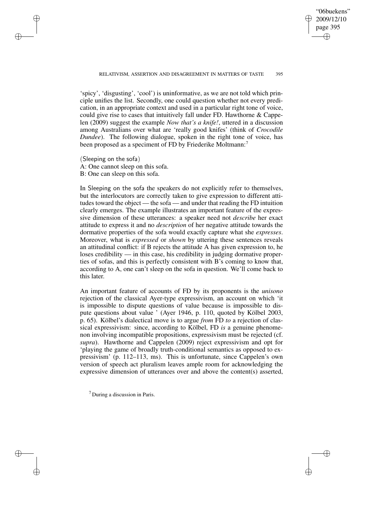✐

✐

'spicy', 'disgusting', 'cool') is uninformative, as we are not told which principle unifies the list. Secondly, one could question whether not every predication, in an appropriate context and used in a particular right tone of voice, could give rise to cases that intuitively fall under FD. Hawthorne & Cappelen (2009) suggest the example *Now that's a knife!*, uttered in a discussion among Australians over what are 'really good knifes' (think of *Crocodile Dundee*). The following dialogue, spoken in the right tone of voice, has been proposed as a speciment of FD by Friederike Moltmann:<sup>7</sup>

(Sleeping on the sofa) A: One cannot sleep on this sofa. B: One can sleep on this sofa.

✐

✐

✐

✐

In Sleeping on the sofa the speakers do not explicitly refer to themselves, but the interlocutors are correctly taken to give expression to different attitudes toward the object — the sofa — and under that reading the FD intuition clearly emerges. The example illustrates an important feature of the expressive dimension of these utterances: a speaker need not *describe* her exact attitude to express it and no *description* of her negative attitude towards the dormative properties of the sofa would exactly capture what she *expresses*. Moreover, what is *expressed* or *shown* by uttering these sentences reveals an attitudinal conflict: if B rejects the attitude A has given expression to, he loses credibility — in this case, his credibility in judging dormative properties of sofas, and this is perfectly consistent with B's coming to know that, according to A, one can't sleep on the sofa in question. We'll come back to this later.

An important feature of accounts of FD by its proponents is the *unisono* rejection of the classical Ayer-type expressivism, an account on which 'it is impossible to dispute questions of value because is impossible to dispute questions about value ' (Ayer 1946, p. 110, quoted by Kölbel 2003, p. 65). Kölbel's dialectical move is to argue *from* FD *to* a rejection of classical expressivism: since, according to Kölbel, FD *is* a genuine phenomenon involving incompatible propositions, expressivism must be rejected (cf. *supra*). Hawthorne and Cappelen (2009) reject expressivism and opt for 'playing the game of broadly truth-conditional semantics as opposed to expressivism' (p. 112–113, ms). This is unfortunate, since Cappelen's own version of speech act pluralism leaves ample room for acknowledging the expressive dimension of utterances over and above the content(s) asserted,

<sup>7</sup> During a discussion in Paris.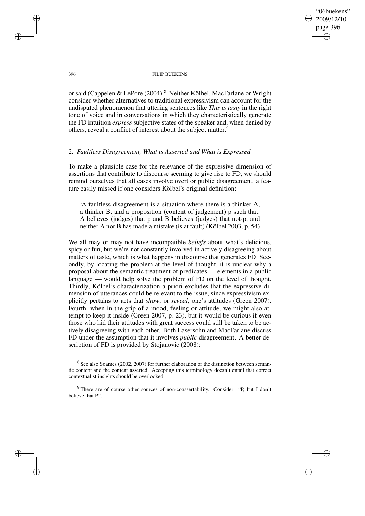"06buekens" 2009/12/10 page 396 ✐ ✐

✐

✐

#### 396 FILIP BUEKENS

or said (Cappelen & LePore (2004).<sup>8</sup> Neither Kölbel, MacFarlane or Wright consider whether alternatives to traditional expressivism can account for the undisputed phenomenon that uttering sentences like *This is tasty* in the right tone of voice and in conversations in which they characteristically generate the FD intuition *express* subjective states of the speaker and, when denied by others, reveal a conflict of interest about the subject matter.<sup>9</sup>

### 2. *Faultless Disagreement, What is Asserted and What is Expressed*

To make a plausible case for the relevance of the expressive dimension of assertions that contribute to discourse seeming to give rise to FD, we should remind ourselves that all cases involve overt or public disagreement, a feature easily missed if one considers Kölbel's original definition:

'A faultless disagreement is a situation where there is a thinker A, a thinker B, and a proposition (content of judgement) p such that: A believes (judges) that p and B believes (judges) that not-p, and neither A nor B has made a mistake (is at fault) (Kölbel 2003, p. 54)

We all may or may not have incompatible *beliefs* about what's delicious, spicy or fun, but we're not constantly involved in actively disagreeing about matters of taste, which is what happens in discourse that generates FD. Secondly, by locating the problem at the level of thought, it is unclear why a proposal about the semantic treatment of predicates — elements in a public language — would help solve the problem of FD on the level of thought. Thirdly, Kölbel's characterization a priori excludes that the expressive dimension of utterances could be relevant to the issue, since expressivism explicitly pertains to acts that *show*, or *reveal*, one's attitudes (Green 2007). Fourth, when in the grip of a mood, feeling or attitude, we might also attempt to keep it inside (Green 2007, p. 23), but it would be curious if even those who hid their attitudes with great success could still be taken to be actively disagreeing with each other. Both Lasersohn and MacFarlane discuss FD under the assumption that it involves *public* disagreement. A better description of FD is provided by Stojanovic (2008):

✐

✐

✐

 $8$  See also Soames (2002, 2007) for further elaboration of the distinction between semantic content and the content asserted. Accepting this terminology doesn't entail that correct contextualist insights should be overlooked.

<sup>&</sup>lt;sup>9</sup> There are of course other sources of non-coassertability. Consider: "P, but I don't believe that P".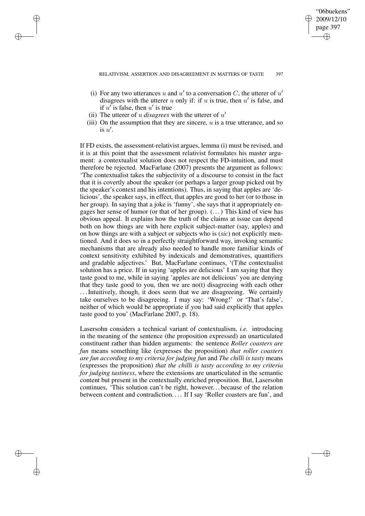✐

✐

- (i) For any two utterances u and u' to a conversation C, the utterer of u' disagrees with the utterer u only if: if u is true, then  $u'$  is false, and if  $u'$  is false, then  $u'$  is true
- (ii) The utterer of u *disagrees* with the utterer of  $u'$

✐

✐

✐

✐

(iii) On the assumption that they are sincere,  $u$  is a true utterance, and so is  $u'$ .

If FD exists, the assessment-relativist argues, lemma (i) must be revised, and it is at this point that the assessment relativist formulates his master argument: a contextualist solution does not respect the FD-intuition, and must therefore be rejected. MacFarlane (2007) presents the argument as follows: 'The contextualist takes the subjectivity of a discourse to consist in the fact that it is covertly about the speaker (or perhaps a larger group picked out by the speaker's context and his intentions). Thus, in saying that apples are 'delicious', the speaker says, in effect, that apples are good to her (or to those in her group). In saying that a joke is 'funny', she says that it appropriately engages her sense of humor (or that of her group). (. . .) This kind of view has obvious appeal. It explains how the truth of the claims at issue can depend both on how things are with here explicit subject-matter (say, apples) and on how things are with a subject or subjects who is (*sic*) not explicitly mentioned. And it does so in a perfectly straightforward way, invoking semantic mechanisms that are already also needed to handle more familiar kinds of context sensitivity exhibited by indexicals and demonstratives, quantifiers and gradable adjectives.' But, MacFarlane continues, '(T)he contextualist solution has a price. If in saying 'apples are delicious' I am saying that they taste good to me, while in saying 'apples are not delicious' you are denying that they taste good to you, then we are no(t) disagreeing with each other ... Intuitively, though, it does seem that we are disagreeing. We certainly take ourselves to be disagreeing. I may say: 'Wrong!' or 'That's false', neither of which would be appropriate if you had said explicitly that apples taste good to you' (MacFarlane 2007, p. 18).

Lasersohn considers a technical variant of contextualism, *i.e.* introducing in the meaning of the sentence (the proposition expressed) an unarticulated constituent rather than hidden arguments: the sentence *Roller coasters are fun* means something like (expresses the proposition) *that roller coasters are fun according to my criteria for judging fun* and *The chilli is tasty* means (expresses the proposition) *that the chilli is tasty according to my criteria for judging tastiness*, where the extensions are unarticulated in the semantic content but present in the contextually enriched proposition. But, Lasersohn continues, 'This solution can't be right, however. . . because of the relation between content and contradiction. . . . If I say 'Roller coasters are fun', and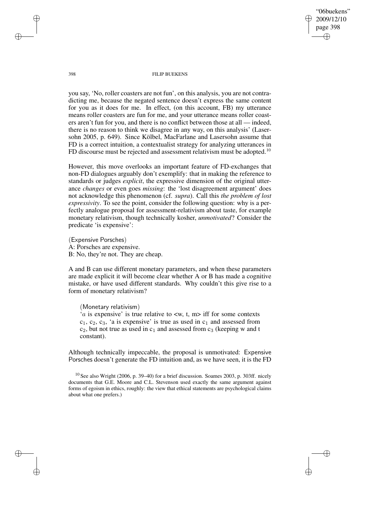"06buekens" 2009/12/10 page 398 ✐ ✐

✐

✐

398 FILIP BUEKENS

you say, 'No, roller coasters are not fun', on this analysis, you are not contradicting me, because the negated sentence doesn't express the same content for you as it does for me. In effect, (on this account, FB) my utterance means roller coasters are fun for me, and your utterance means roller coasters aren't fun for you, and there is no conflict between those at all — indeed, there is no reason to think we disagree in any way, on this analysis' (Lasersohn 2005, p. 649). Since Kölbel, MacFarlane and Lasersohn assume that FD is a correct intuition, a contextualist strategy for analyzing utterances in FD discourse must be rejected and assessment relativism must be adopted.<sup>10</sup>

However, this move overlooks an important feature of FD-exchanges that non-FD dialogues arguably don't exemplify: that in making the reference to standards or judges *explicit*, the expressive dimension of the original utterance *changes* or even goes *missing*: the 'lost disagreement argument' does not acknowledge this phenomenon (cf. *supra*). Call this *the problem of lost expressivity*. To see the point, consider the following question: why is a perfectly analogue proposal for assessment-relativism about taste, for example monetary relativism, though technically kosher, *unmotivated*? Consider the predicate 'is expensive':

(Expensive Porsches) A: Porsches are expensive. B: No, they're not. They are cheap.

A and B can use different monetary parameters, and when these parameters are made explicit it will become clear whether A or B has made a cognitive mistake, or have used different standards. Why couldn't this give rise to a form of monetary relativism?

(Monetary relativism)

'*a* is expensive' is true relative to  $\langle w, t, m \rangle$  iff for some contexts  $c_1, c_2, c_3$ , 'a is expensive' is true as used in  $c_1$  and assessed from  $c_2$ , but not true as used in  $c_1$  and assessed from  $c_3$  (keeping w and t constant).

Although technically impeccable, the proposal is unmotivated: Expensive Porsches doesn't generate the FD intuition and, as we have seen, it is the FD

✐

✐

✐

 $10$  See also Wright (2006, p. 39–40) for a brief discussion. Soames 2003, p. 303ff. nicely documents that G.E. Moore and C.L. Stevenson used exactly the same argument against forms of egoism in ethics, roughly: the view that ethical statements are psychological claims about what one prefers.)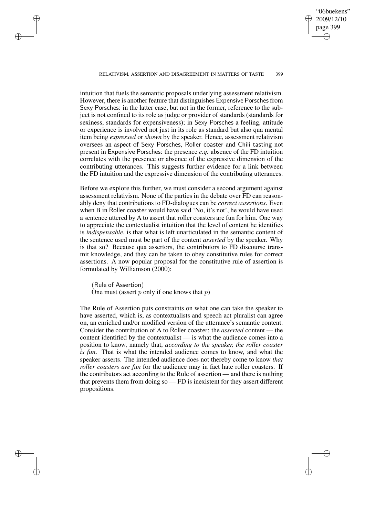"06buekens" 2009/12/10 page 399 ✐ ✐

✐

✐

#### RELATIVISM, ASSERTION AND DISAGREEMENT IN MATTERS OF TASTE 399

✐

✐

✐

✐

intuition that fuels the semantic proposals underlying assessment relativism. However, there is another feature that distinguishes Expensive Porsches from Sexy Porsches: in the latter case, but not in the former, reference to the subject is not confined to its role as judge or provider of standards (standards for sexiness, standards for expensiveness); in Sexy Porsches a feeling, attitude or experience is involved not just in its role as standard but also qua mental item being *expressed* or *shown* by the speaker. Hence, assessment relativism oversees an aspect of Sexy Porsches, Roller coaster and Chili tasting not present in Expensive Porsches: the presence *c.q.* absence of the FD intuition correlates with the presence or absence of the expressive dimension of the contributing utterances. This suggests further evidence for a link between the FD intuition and the expressive dimension of the contributing utterances.

Before we explore this further, we must consider a second argument against assessment relativism. None of the parties in the debate over FD can reasonably deny that contributions to FD-dialogues can be *correct assertions*. Even when B in Roller coaster would have said 'No, it's not', he would have used a sentence uttered by A to assert that roller coasters are fun for him. One way to appreciate the contextualist intuition that the level of content he identifies is *indispensable*, is that what is left unarticulated in the semantic content of the sentence used must be part of the content *asserted* by the speaker. Why is that so? Because qua assertors, the contributors to FD discourse transmit knowledge, and they can be taken to obey constitutive rules for correct assertions. A now popular proposal for the constitutive rule of assertion is formulated by Williamson (2000):

(Rule of Assertion) One must (assert  $p$  only if one knows that  $p$ )

The Rule of Assertion puts constraints on what one can take the speaker to have asserted, which is, as contextualists and speech act pluralist can agree on, an enriched and/or modified version of the utterance's semantic content. Consider the contribution of A to Roller coaster: the *asserted* content — the content identified by the contextualist — is what the audience comes into a position to know, namely that, *according to the speaker, the roller coaster is fun*. That is what the intended audience comes to know, and what the speaker asserts. The intended audience does not thereby come to know *that roller coasters are fun* for the audience may in fact hate roller coasters. If the contributors act according to the Rule of assertion — and there is nothing that prevents them from doing so — FD is inexistent for they assert different propositions.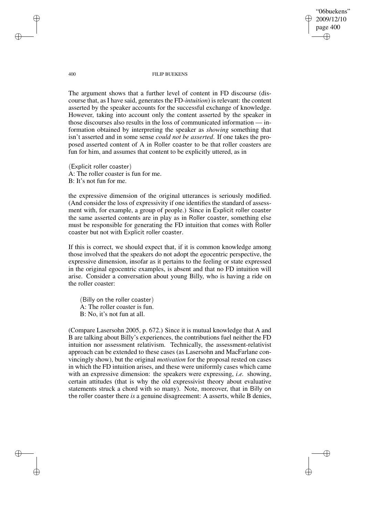"06buekens" 2009/12/10 page 400 ✐ ✐

✐

✐

400 FILIP BUEKENS

The argument shows that a further level of content in FD discourse (discourse that, as I have said, generates the FD-*intuition*) is relevant: the content asserted by the speaker accounts for the successful exchange of knowledge. However, taking into account only the content asserted by the speaker in those discourses also results in the loss of communicated information — information obtained by interpreting the speaker as *showing* something that isn't asserted and in some sense *could not be asserted*. If one takes the proposed asserted content of A in Roller coaster to be that roller coasters are fun for him, and assumes that content to be explicitly uttered, as in

(Explicit roller coaster) A: The roller coaster is fun for me. B: It's not fun for me.

the expressive dimension of the original utterances is seriously modified. (And consider the loss of expressivity if one identifies the standard of assessment with, for example, a group of people.) Since in Explicit roller coaster the same asserted contents are in play as in Roller coaster, something else must be responsible for generating the FD intuition that comes with Roller coaster but not with Explicit roller coaster.

If this is correct, we should expect that, if it is common knowledge among those involved that the speakers do not adopt the egocentric perspective, the expressive dimension, insofar as it pertains to the feeling or state expressed in the original egocentric examples, is absent and that no FD intuition will arise. Consider a conversation about young Billy, who is having a ride on the roller coaster:

(Billy on the roller coaster) A: The roller coaster is fun. B: No, it's not fun at all.

(Compare Lasersohn 2005, p. 672.) Since it is mutual knowledge that A and B are talking about Billy's experiences, the contributions fuel neither the FD intuition nor assessment relativism. Technically, the assessment-relativist approach can be extended to these cases (as Lasersohn and MacFarlane convincingly show), but the original *motivation* for the proposal rested on cases in which the FD intuition arises, and these were uniformly cases which came with an expressive dimension: the speakers were expressing, *i.e.* showing, certain attitudes (that is why the old expressivist theory about evaluative statements struck a chord with so many). Note, moreover, that in Billy on the roller coaster there *is* a genuine disagreement: A asserts, while B denies,

✐

✐

✐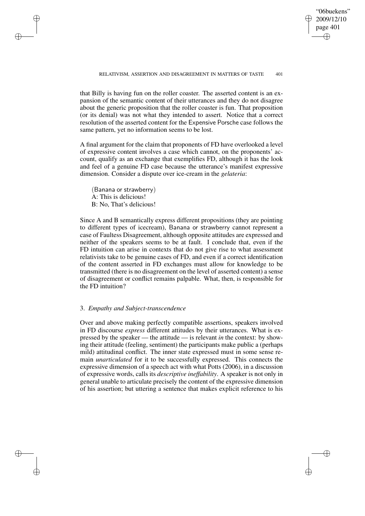✐

✐

that Billy is having fun on the roller coaster. The asserted content is an expansion of the semantic content of their utterances and they do not disagree about the generic proposition that the roller coaster is fun. That proposition (or its denial) was not what they intended to assert. Notice that a correct resolution of the asserted content for the Expensive Porsche case follows the same pattern, yet no information seems to be lost.

A final argument for the claim that proponents of FD have overlooked a level of expressive content involves a case which cannot, on the proponents' account, qualify as an exchange that exemplifies FD, although it has the look and feel of a genuine FD case because the utterance's manifest expressive dimension. Consider a dispute over ice-cream in the *gelateria*:

(Banana or strawberry) A: This is delicious! B: No, That's delicious!

✐

✐

✐

✐

Since A and B semantically express different propositions (they are pointing to different types of icecream), Banana or strawberry cannot represent a case of Faultess Disagreement, although opposite attitudes are expressed and neither of the speakers seems to be at fault. I conclude that, even if the FD intuition can arise in contexts that do not give rise to what assessment relativists take to be genuine cases of FD, and even if a correct identification of the content asserted in FD exchanges must allow for knowledge to be transmitted (there is no disagreement on the level of asserted content) a sense of disagreement or conflict remains palpable. What, then, is responsible for the FD intuition?

### 3. *Empathy and Subject-transcendence*

Over and above making perfectly compatible assertions, speakers involved in FD discourse *express* different attitudes by their utterances. What is expressed by the speaker — the attitude — is relevant *in* the context: by showing their attitude (feeling, sentiment) the participants make public a (perhaps mild) attitudinal conflict. The inner state expressed must in some sense remain *unarticulated* for it to be successfully expressed. This connects the expressive dimension of a speech act with what Potts (2006), in a discussion of expressive words, calls its *descriptive ineffability*. A speaker is not only in general unable to articulate precisely the content of the expressive dimension of his assertion; but uttering a sentence that makes explicit reference to his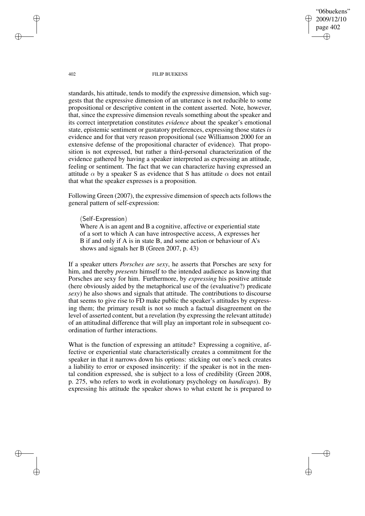"06buekens" 2009/12/10 page 402 ✐ ✐

✐

✐

402 FILIP BUEKENS

standards, his attitude, tends to modify the expressive dimension, which suggests that the expressive dimension of an utterance is not reducible to some propositional or descriptive content in the content asserted. Note, however, that, since the expressive dimension reveals something about the speaker and its correct interpretation constitutes *evidence* about the speaker's emotional state, epistemic sentiment or gustatory preferences, expressing those states *is* evidence and for that very reason propositional (see Williamson 2000 for an extensive defense of the propositional character of evidence). That proposition is not expressed, but rather a third-personal characterization of the evidence gathered by having a speaker interpreted as expressing an attitude, feeling or sentiment. The fact that we can characterize having expressed an attitude  $\alpha$  by a speaker S as evidence that S has attitude  $\alpha$  does not entail that what the speaker expresses is a proposition.

Following Green (2007), the expressive dimension of speech acts follows the general pattern of self-expression:

(Self-Expression)

Where A is an agent and B a cognitive, affective or experiential state of a sort to which A can have introspective access, A expresses her B if and only if A is in state B, and some action or behaviour of A's shows and signals her B (Green 2007, p. 43)

If a speaker utters *Porsches are sexy*, he asserts that Porsches are sexy for him, and thereby *presents* himself to the intended audience as knowing that Porsches are sexy for him. Furthermore, by *expressing* his positive attitude (here obviously aided by the metaphorical use of the (evaluative?) predicate *sexy*) he also shows and signals that attitude. The contributions to discourse that seems to give rise to FD make public the speaker's attitudes by expressing them; the primary result is not so much a factual disagreement on the level of asserted content, but a revelation (by expressing the relevant attitude) of an attitudinal difference that will play an important role in subsequent coordination of further interactions.

What is the function of expressing an attitude? Expressing a cognitive, affective or experiential state characteristically creates a commitment for the speaker in that it narrows down his options: sticking out one's neck creates a liability to error or exposed insincerity: if the speaker is not in the mental condition expressed, she is subject to a loss of credibility (Green 2008, p. 275, who refers to work in evolutionary psychology on *handicaps*). By expressing his attitude the speaker shows to what extent he is prepared to

✐

✐

✐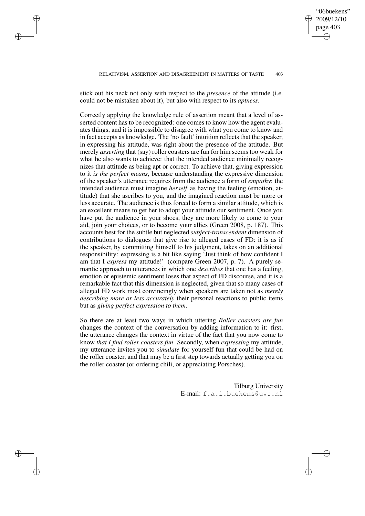RELATIVISM, ASSERTION AND DISAGREEMENT IN MATTERS OF TASTE 403

"06buekens" 2009/12/10 page 403

✐

✐

✐

✐

stick out his neck not only with respect to the *presence* of the attitude (i.e. could not be mistaken about it), but also with respect to its *aptness*.

✐

✐

✐

✐

Correctly applying the knowledge rule of assertion meant that a level of asserted content has to be recognized: one comes to know how the agent evaluates things, and it is impossible to disagree with what you come to know and in fact accepts as knowledge. The 'no fault' intuition reflects that the speaker, in expressing his attitude, was right about the presence of the attitude. But merely *asserting* that (say) roller coasters are fun for him seems too weak for what he also wants to achieve: that the intended audience minimally recognizes that attitude as being apt or correct. To achieve that, giving expression to it *is the perfect means*, because understanding the expressive dimension of the speaker's utterance requires from the audience a form of *empathy*: the intended audience must imagine *herself* as having the feeling (emotion, attitude) that she ascribes to you, and the imagined reaction must be more or less accurate. The audience is thus forced to form a similar attitude, which is an excellent means to get her to adopt your attitude our sentiment. Once you have put the audience in your shoes, they are more likely to come to your aid, join your choices, or to become your allies (Green 2008, p. 187). This accounts best for the subtle but neglected *subject-transcendent* dimension of contributions to dialogues that give rise to alleged cases of FD: it is as if the speaker, by committing himself to his judgment, takes on an additional responsibility: expressing is a bit like saying 'Just think of how confident I am that I *express* my attitude!' (compare Green 2007, p. 7). A purely semantic approach to utterances in which one *describes* that one has a feeling, emotion or epistemic sentiment loses that aspect of FD discourse, and it is a remarkable fact that this dimension is neglected, given that so many cases of alleged FD work most convincingly when speakers are taken not as *merely describing more or less accurately* their personal reactions to public items but as *giving perfect expression to them*.

So there are at least two ways in which uttering *Roller coasters are fun* changes the context of the conversation by adding information to it: first, the utterance changes the context in virtue of the fact that you now come to know *that I find roller coasters fun*. Secondly, when *expressing* my attitude, my utterance invites you to *simulate* for yourself fun that could be had on the roller coaster, and that may be a first step towards actually getting you on the roller coaster (or ordering chili, or appreciating Porsches).

> Tilburg University E-mail: f.a.i.buekens@uvt.nl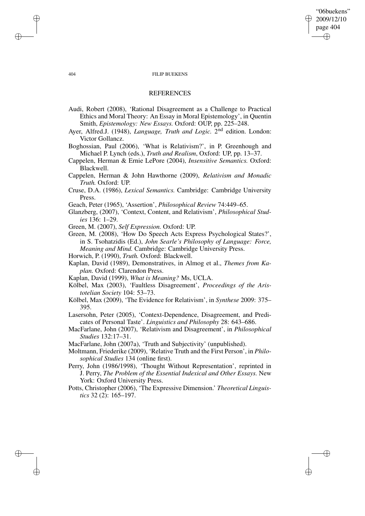### "06buekens" 2009/12/10 page 404 ✐ ✐

✐

✐

#### 404 FILIP BUEKENS

### **REFERENCES**

- Audi, Robert (2008), 'Rational Disagreement as a Challenge to Practical Ethics and Moral Theory: An Essay in Moral Epistemology', in Quentin Smith, *Epistemology: New Essays.* Oxford: OUP, pp. 225–248.
- Ayer, Alfred.J. (1948), *Language, Truth and Logic*. 2<sup>nd</sup> edition. London: Victor Gollancz.
- Boghossian, Paul (2006), 'What is Relativism?', in P. Greenhough and Michael P. Lynch (eds.), *Truth and Realism*, Oxford: UP, pp. 13–37.
- Cappelen, Herman & Ernie LePore (2004), *Insensitive Semantics.* Oxford: Blackwell.
- Cappelen, Herman & John Hawthorne (2009), *Relativism and Monadic Truth.* Oxford: UP.
- Cruse, D.A. (1986), *Lexical Semantics.* Cambridge: Cambridge University Press.
- Geach, Peter (1965), 'Assertion', *Philosophical Review* 74:449–65.
- Glanzberg, (2007), 'Context, Content, and Relativism', *Philosophical Studies* 136: 1–29.
- Green, M. (2007), *Self Expression.* Oxford: UP.
- Green, M. (2008), 'How Do Speech Acts Express Psychological States?', in S. Tsohatzidis (Ed.), *John Searle's Philosophy of Language: Force, Meaning and Mind.* Cambridge: Cambridge University Press.

Horwich, P. (1990), *Truth.* Oxford: Blackwell.

- Kaplan, David (1989), Demonstratives, in Almog et al., *Themes from Kaplan.* Oxford: Clarendon Press.
- Kaplan, David (1999), *What is Meaning?* Ms, UCLA.
- Kölbel, Max (2003), 'Faultless Disagreement', *Proceedings of the Aristotelian Society* 104: 53–73.
- Kölbel, Max (2009), 'The Evidence for Relativism', in *Synthese* 2009: 375– 395.
- Lasersohn, Peter (2005), 'Context-Dependence, Disagreement, and Predicates of Personal Taste'. *Linguistics and Philosophy* 28: 643–686.
- MacFarlane, John (2007), 'Relativism and Disagreement', in *Philosophical Studies* 132:17–31.
- MacFarlane, John (2007a), 'Truth and Subjectivity' (unpublished).
- Moltmann, Friederike (2009), 'Relative Truth and the First Person', in *Philosophical Studies* 134 (online first).
- Perry, John (1986/1998), 'Thought Without Representation', reprinted in J. Perry, *The Problem of the Essential Indexical and Other Essays.* New York: Oxford University Press.
- Potts, Christopher (2006), 'The Expressive Dimension.' *Theoretical Linguistics* 32 (2): 165–197.

✐

✐

✐